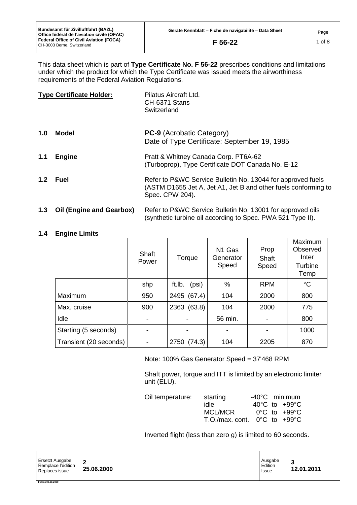This data sheet which is part of **Type Certificate No. F 56-22** prescribes conditions and limitations under which the product for which the Type Certificate was issued meets the airworthiness requirements of the Federal Aviation Regulations.

| <b>Type Certificate Holder:</b> |                                 | Pilatus Aircraft Ltd.<br>CH-6371 Stans<br>Switzerland                                                                                            |
|---------------------------------|---------------------------------|--------------------------------------------------------------------------------------------------------------------------------------------------|
| 1.0                             | Model                           | <b>PC-9</b> (Acrobatic Category)<br>Date of Type Certificate: September 19, 1985                                                                 |
| 1.1                             | <b>Engine</b>                   | Pratt & Whitney Canada Corp. PT6A-62<br>(Turboprop), Type Certificate DOT Canada No. E-12                                                        |
|                                 | 1.2 Fuel                        | Refer to P&WC Service Bulletin No. 13044 for approved fuels<br>(ASTM D1655 Jet A, Jet A1, Jet B and other fuels conforming to<br>Spec. CPW 204). |
| 1.3                             | <b>Oil (Engine and Gearbox)</b> | Refer to P&WC Service Bulletin No. 13001 for approved oils                                                                                       |

## **1.4 Engine Limits**

**FM/ms 08.08.2000**

|                        | Shaft<br>Power | Torque          | N1 Gas<br>Generator<br>Speed | Prop<br>Shaft<br>Speed | Maximum<br>Observed<br>Inter<br>Turbine<br>Temp |
|------------------------|----------------|-----------------|------------------------------|------------------------|-------------------------------------------------|
|                        | shp            | (psi)<br>ft.lb. | %                            | <b>RPM</b>             | $\rm ^{\circ}C$                                 |
| Maximum                | 950            | (67.4)<br>2495  | 104                          | 2000                   | 800                                             |
| Max. cruise            | 900            | 2363 (63.8)     | 104                          | 2000                   | 775                                             |
| Idle                   | ۰              |                 | 56 min.                      | -                      | 800                                             |
| Starting (5 seconds)   |                |                 |                              |                        | 1000                                            |
| Transient (20 seconds) |                | 2750 (74.3)     | 104                          | 2205                   | 870                                             |

Note: 100% Gas Generator Speed = 37'468 RPM

Shaft power, torque and ITT is limited by an electronic limiter unit (ELU).

(synthetic turbine oil according to Spec. PWA 521 Type II).

| Oil temperature: | starting                                         | $-40^{\circ}$ C minimum            |
|------------------|--------------------------------------------------|------------------------------------|
|                  | idle                                             | $-40^{\circ}$ C to $+99^{\circ}$ C |
|                  | MCL/MCR                                          | $0^{\circ}$ C to $+99^{\circ}$ C   |
|                  | T.O./max.cont. $0^{\circ}$ C to +99 $^{\circ}$ C |                                    |

Inverted flight (less than zero g) is limited to 60 seconds.

| Ersetzt Ausgabe<br>Remplace l'édition<br>Replaces issue | 25.06.2000 | Ausgabe<br>Edition<br><b>Issue</b> | €<br>12.01.2011 |
|---------------------------------------------------------|------------|------------------------------------|-----------------|
|---------------------------------------------------------|------------|------------------------------------|-----------------|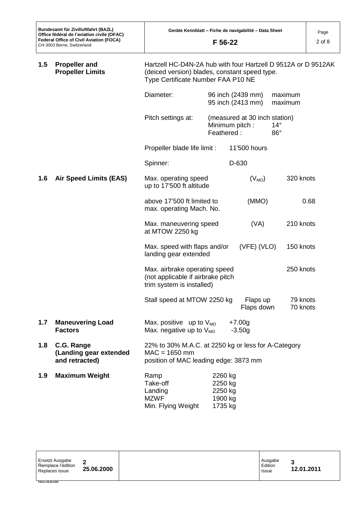| <b>Propeller and</b><br>Hartzell HC-D4N-2A hub with four Hartzell D 9512A or D 9512AK<br>1.5<br><b>Propeller Limits</b><br>(deiced version) blades, constant speed type.<br>Type Certificate Number FAA P10 NE |                                                        |                                                                                                                 |                                                               |                                        |                            |
|----------------------------------------------------------------------------------------------------------------------------------------------------------------------------------------------------------------|--------------------------------------------------------|-----------------------------------------------------------------------------------------------------------------|---------------------------------------------------------------|----------------------------------------|----------------------------|
|                                                                                                                                                                                                                |                                                        | Diameter:                                                                                                       |                                                               | 96 inch (2439 mm)<br>95 inch (2413 mm) | maximum<br>maximum         |
|                                                                                                                                                                                                                |                                                        | Pitch settings at:                                                                                              | (measured at 30 inch station)<br>Minimum pitch:<br>Feathered: |                                        | $14^{\circ}$<br>$86^\circ$ |
|                                                                                                                                                                                                                |                                                        | Propeller blade life limit :                                                                                    |                                                               | 11'500 hours                           |                            |
|                                                                                                                                                                                                                |                                                        | Spinner:                                                                                                        |                                                               | D-630                                  |                            |
| 1.6                                                                                                                                                                                                            | <b>Air Speed Limits (EAS)</b>                          | Max. operating speed<br>up to 17'500 ft altitude                                                                |                                                               | $(V_{MO})$                             | 320 knots                  |
|                                                                                                                                                                                                                |                                                        | above 17'500 ft limited to<br>max. operating Mach. No.                                                          |                                                               | (MMO)                                  | 0.68                       |
|                                                                                                                                                                                                                |                                                        | Max. maneuvering speed<br>at MTOW 2250 kg                                                                       |                                                               | (VA)                                   | 210 knots                  |
|                                                                                                                                                                                                                |                                                        | Max. speed with flaps and/or<br>landing gear extended                                                           |                                                               | (VFE) (VLO)                            | 150 knots                  |
|                                                                                                                                                                                                                |                                                        | Max. airbrake operating speed<br>(not applicable if airbrake pitch<br>trim system is installed)                 |                                                               |                                        | 250 knots                  |
|                                                                                                                                                                                                                |                                                        | Stall speed at MTOW 2250 kg                                                                                     |                                                               | Flaps up<br>Flaps down                 | 79 knots<br>70 knots       |
| 1.7                                                                                                                                                                                                            | <b>Maneuvering Load</b><br><b>Factors</b>              | Max. positive up to $V_{MO}$<br>Max. negative up to $V_{MO}$                                                    |                                                               | $+7.00g$<br>$-3.50g$                   |                            |
| 1.8                                                                                                                                                                                                            | C.G. Range<br>(Landing gear extended<br>and retracted) | 22% to 30% M.A.C. at 2250 kg or less for A-Category<br>$MAC = 1650$ mm<br>position of MAC leading edge: 3873 mm |                                                               |                                        |                            |
| 1.9                                                                                                                                                                                                            | <b>Maximum Weight</b>                                  | Ramp<br>Take-off<br>Landing<br><b>MZWF</b><br>Min. Flying Weight                                                | 2260 kg<br>2250 kg<br>2250 kg<br>1900 kg<br>1735 kg           |                                        |                            |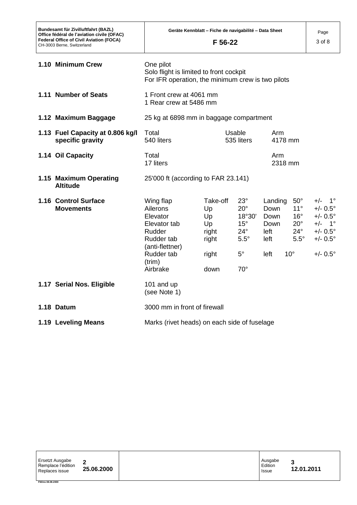| Bundesamt für Zivilluftfahrt (BAZL)<br>Office fédéral de l'aviation civile (OFAC)<br><b>Federal Office of Civil Aviation (FOCA)</b><br>CH-3003 Berne, Switzerland |                                                                                                                                  | Geräte Kennblatt – Fiche de navigabilité – Data Sheet<br>F 56-22 |                                                                                                                    |                                                         |                                                                                                           | Page<br>3 of 8                                                                                                                                        |
|-------------------------------------------------------------------------------------------------------------------------------------------------------------------|----------------------------------------------------------------------------------------------------------------------------------|------------------------------------------------------------------|--------------------------------------------------------------------------------------------------------------------|---------------------------------------------------------|-----------------------------------------------------------------------------------------------------------|-------------------------------------------------------------------------------------------------------------------------------------------------------|
| 1.10 Minimum Crew                                                                                                                                                 | One pilot<br>Solo flight is limited to front cockpit<br>For IFR operation, the minimum crew is two pilots                        |                                                                  |                                                                                                                    |                                                         |                                                                                                           |                                                                                                                                                       |
| 1.11 Number of Seats                                                                                                                                              |                                                                                                                                  | 1 Front crew at 4061 mm<br>1 Rear crew at 5486 mm                |                                                                                                                    |                                                         |                                                                                                           |                                                                                                                                                       |
| 1.12 Maximum Baggage                                                                                                                                              |                                                                                                                                  | 25 kg at 6898 mm in baggage compartment                          |                                                                                                                    |                                                         |                                                                                                           |                                                                                                                                                       |
| 1.13 Fuel Capacity at 0.806 kg/l<br>specific gravity                                                                                                              | Total<br>540 liters                                                                                                              |                                                                  | Usable<br>535 liters                                                                                               | Arm<br>4178 mm                                          |                                                                                                           |                                                                                                                                                       |
| 1.14 Oil Capacity                                                                                                                                                 | Total<br>17 liters                                                                                                               |                                                                  |                                                                                                                    | Arm<br>2318 mm                                          |                                                                                                           |                                                                                                                                                       |
| 1.15 Maximum Operating<br><b>Altitude</b>                                                                                                                         | 25'000 ft (according to FAR 23.141)                                                                                              |                                                                  |                                                                                                                    |                                                         |                                                                                                           |                                                                                                                                                       |
| 1.16 Control Surface<br><b>Movements</b>                                                                                                                          | Wing flap<br>Ailerons<br>Elevator<br>Elevator tab<br>Rudder<br>Rudder tab<br>(anti-flettner)<br>Rudder tab<br>(trim)<br>Airbrake | Take-off<br>Up<br>Up<br>Up<br>right<br>right<br>right<br>down    | $23^\circ$<br>$20^{\circ}$<br>18°30'<br>$15^{\circ}$<br>$24^{\circ}$<br>$5.5^\circ$<br>$5^{\circ}$<br>$70^{\circ}$ | Landing<br>Down<br>Down<br>Down<br>left<br>left<br>left | $50^\circ$<br>$11^{\circ}$<br>$16^{\circ}$<br>$20^{\circ}$<br>$24^{\circ}$<br>$5.5^\circ$<br>$10^{\circ}$ | $+/-$ 1 <sup>c</sup><br>$+/- 0.5^{\circ}$<br>$+/- 0.5^{\circ}$<br>$+/-$ 1 <sup>c</sup><br>$+/- 0.5^{\circ}$<br>$+/- 0.5^{\circ}$<br>$+/- 0.5^{\circ}$ |
| 1.17 Serial Nos. Eligible                                                                                                                                         | 101 and up<br>(see Note 1)                                                                                                       |                                                                  |                                                                                                                    |                                                         |                                                                                                           |                                                                                                                                                       |
| 1.18 Datum                                                                                                                                                        | 3000 mm in front of firewall                                                                                                     |                                                                  |                                                                                                                    |                                                         |                                                                                                           |                                                                                                                                                       |
| 1.19 Leveling Means                                                                                                                                               | Marks (rivet heads) on each side of fuselage                                                                                     |                                                                  |                                                                                                                    |                                                         |                                                                                                           |                                                                                                                                                       |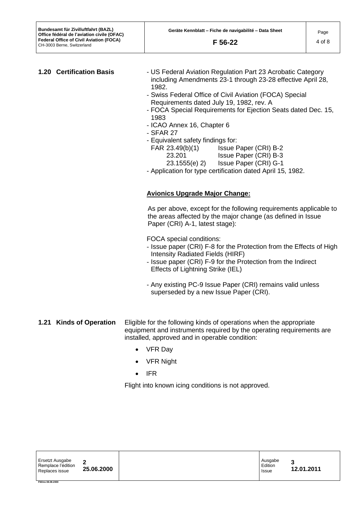- **1.20 Certification Basis** US Federal Aviation Regulation Part 23 Acrobatic Category including Amendments 23-1 through 23-28 effective April 28, 1982.
	- Swiss Federal Office of Civil Aviation (FOCA) Special Requirements dated July 19, 1982, rev. A
	- FOCA Special Requirements for Ejection Seats dated Dec. 15, 1983
	- ICAO Annex 16, Chapter 6
	- SFAR 27
	- Equivalent safety findings for:
		- FAR 23.49(b)(1) Issue Paper (CRI) B-2
			- 23.201 Issue Paper (CRI) B-3
			- 23.1555(e) 2) Issue Paper (CRI) G-1
	- Application for type certification dated April 15, 1982.

# **Avionics Upgrade Major Change:**

As per above, except for the following requirements applicable to the areas affected by the major change (as defined in Issue Paper (CRI) A-1, latest stage):

FOCA special conditions:

- Issue paper (CRI) F-8 for the Protection from the Effects of High Intensity Radiated Fields (HIRF)
- Issue paper (CRI) F-9 for the Protection from the Indirect Effects of Lightning Strike (IEL)
- Any existing PC-9 Issue Paper (CRI) remains valid unless superseded by a new Issue Paper (CRI).
- **1.21 Kinds of Operation** Eligible for the following kinds of operations when the appropriate equipment and instruments required by the operating requirements are installed, approved and in operable condition:
	- VFR Day
	- VFR Night
	- $\bullet$  IFR

Flight into known icing conditions is not approved.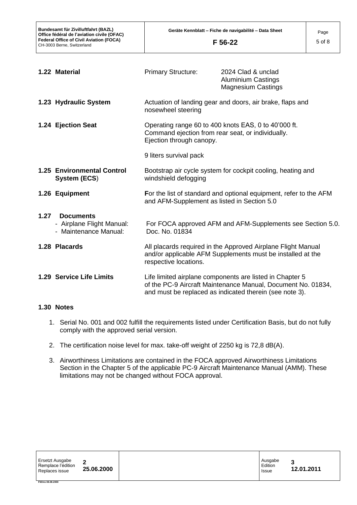|      | 1.22 Material                                                          | <b>Primary Structure:</b>                                                                                                                                       | 2024 Clad & unclad<br><b>Aluminium Castings</b><br><b>Magnesium Castings</b>                                                                                                        |  |
|------|------------------------------------------------------------------------|-----------------------------------------------------------------------------------------------------------------------------------------------------------------|-------------------------------------------------------------------------------------------------------------------------------------------------------------------------------------|--|
|      | 1.23 Hydraulic System                                                  | nosewheel steering                                                                                                                                              | Actuation of landing gear and doors, air brake, flaps and                                                                                                                           |  |
|      | 1.24 Ejection Seat                                                     | Operating range 60 to 400 knots EAS, 0 to 40'000 ft.<br>Command ejection from rear seat, or individually.<br>Ejection through canopy.<br>9 liters survival pack |                                                                                                                                                                                     |  |
|      | <b>1.25 Environmental Control</b><br>System (ECS)                      | Bootstrap air cycle system for cockpit cooling, heating and<br>windshield defogging                                                                             |                                                                                                                                                                                     |  |
|      | 1.26 Equipment                                                         | For the list of standard and optional equipment, refer to the AFM<br>and AFM-Supplement as listed in Section 5.0                                                |                                                                                                                                                                                     |  |
| 1.27 | <b>Documents</b><br>- Airplane Flight Manual:<br>- Maintenance Manual: | Doc. No. 01834                                                                                                                                                  | For FOCA approved AFM and AFM-Supplements see Section 5.0.                                                                                                                          |  |
|      | 1.28 Placards                                                          | respective locations.                                                                                                                                           | All placards required in the Approved Airplane Flight Manual<br>and/or applicable AFM Supplements must be installed at the                                                          |  |
|      | 1.29 Service Life Limits                                               |                                                                                                                                                                 | Life limited airplane components are listed in Chapter 5<br>of the PC-9 Aircraft Maintenance Manual, Document No. 01834,<br>and must be replaced as indicated therein (see note 3). |  |

## **1.30 Notes**

**FM/ms 08.08.2000**

- 1. Serial No. 001 and 002 fulfill the requirements listed under Certification Basis, but do not fully comply with the approved serial version.
- 2. The certification noise level for max. take-off weight of 2250 kg is 72,8 dB(A).
- 3. Airworthiness Limitations are contained in the FOCA approved Airworthiness Limitations Section in the Chapter 5 of the applicable PC-9 Aircraft Maintenance Manual (AMM). These limitations may not be changed without FOCA approval.

| Ersetzt Ausgabe<br>Remplace l'édition<br>Replaces issue | ◠<br>25.06.2000 |  | Ausgabe<br>Edition<br>Issue | -<br>12.01.2011 |
|---------------------------------------------------------|-----------------|--|-----------------------------|-----------------|
|---------------------------------------------------------|-----------------|--|-----------------------------|-----------------|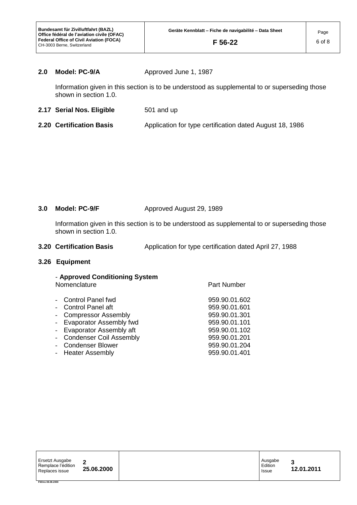## **2.0 Model: PC-9/A** Approved June 1, 1987

Information given in this section is to be understood as supplemental to or superseding those shown in section 1.0.

- **2.17 Serial Nos. Eligible** 501 and up
- **2.20 Certification Basis** Application for type certification dated August 18, 1986

## **3.0 Model: PC-9/F** Approved August 29, 1989

Information given in this section is to be understood as supplemental to or superseding those shown in section 1.0.

**3.20 Certification Basis** Application for type certification dated April 27, 1988

### **3.26 Equipment**

| - Approved Conditioning System<br>Nomenclature | <b>Part Number</b> |
|------------------------------------------------|--------------------|
| <b>Control Panel fwd</b>                       | 959.90.01.602      |
| Control Panel aft                              | 959.90.01.601      |
| <b>Compressor Assembly</b>                     | 959.90.01.301      |
| <b>Evaporator Assembly fwd</b>                 | 959.90.01.101      |
| <b>Evaporator Assembly aft</b>                 | 959.90.01.102      |
| <b>Condenser Coil Assembly</b>                 | 959.90.01.201      |
| <b>Condenser Blower</b>                        | 959.90.01.204      |
| <b>Heater Assembly</b>                         | 959.90.01.401      |

| Ersetzt Ausgabe<br>Remplace l'édition<br>Replaces issue | ◠<br>25.06.2000 | Ausgabe<br>Edition<br>Issue | 2<br>12.01.2011 |
|---------------------------------------------------------|-----------------|-----------------------------|-----------------|
| FM/ms 08.08.2000                                        |                 |                             |                 |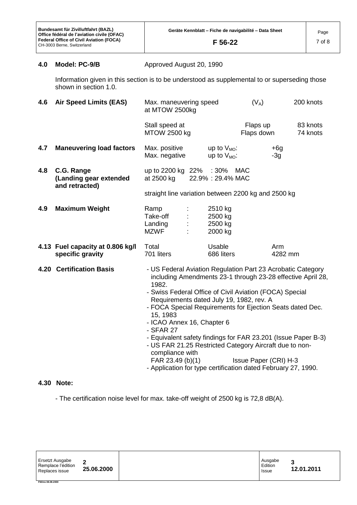# **4.0 Model: PC-9/B** Approved August 20, 1990

Information given in this section is to be understood as supplemental to or superseding those shown in section 1.0.

| 4.6 | <b>Air Speed Limits (EAS)</b>                          | Max. maneuvering speed<br>at MTOW 2500kg                                                                                                                                                                                                                                                                                                                                                                                                                                                                                            |                                          | $(V_A)$                | 200 knots                                                   |
|-----|--------------------------------------------------------|-------------------------------------------------------------------------------------------------------------------------------------------------------------------------------------------------------------------------------------------------------------------------------------------------------------------------------------------------------------------------------------------------------------------------------------------------------------------------------------------------------------------------------------|------------------------------------------|------------------------|-------------------------------------------------------------|
|     |                                                        | Stall speed at<br><b>MTOW 2500 kg</b>                                                                                                                                                                                                                                                                                                                                                                                                                                                                                               |                                          | Flaps up<br>Flaps down | 83 knots<br>74 knots                                        |
| 4.7 | <b>Maneuvering load factors</b>                        | Max. positive<br>Max. negative                                                                                                                                                                                                                                                                                                                                                                                                                                                                                                      | up to $V_{MO}$ :<br>up to $V_{MO}$ :     |                        | $+6g$<br>$-3g$                                              |
| 4.8 | C.G. Range<br>(Landing gear extended<br>and retracted) | up to 2200 kg 22% : 30%<br>at 2500 kg                                                                                                                                                                                                                                                                                                                                                                                                                                                                                               | 22.9%: 29.4% MAC                         | <b>MAC</b>             |                                                             |
|     |                                                        | straight line variation between 2200 kg and 2500 kg                                                                                                                                                                                                                                                                                                                                                                                                                                                                                 |                                          |                        |                                                             |
| 4.9 | <b>Maximum Weight</b>                                  | Ramp<br>Take-off<br>Landing<br>MZWF                                                                                                                                                                                                                                                                                                                                                                                                                                                                                                 | 2510 kg<br>2500 kg<br>2500 kg<br>2000 kg |                        |                                                             |
|     | 4.13 Fuel capacity at 0.806 kg/l<br>specific gravity   | Total<br>701 liters                                                                                                                                                                                                                                                                                                                                                                                                                                                                                                                 | Usable<br>686 liters                     |                        | Arm<br>4282 mm                                              |
|     | <b>4.20 Certification Basis</b>                        | - US Federal Aviation Regulation Part 23 Acrobatic Category<br>1982.<br>- Swiss Federal Office of Civil Aviation (FOCA) Special<br>Requirements dated July 19, 1982, rev. A<br>- FOCA Special Requirements for Ejection Seats dated Dec.<br>15, 1983<br>- ICAO Annex 16, Chapter 6<br>- SFAR 27<br>- Equivalent safety findings for FAR 23.201 (Issue Paper B-3)<br>- US FAR 21.25 Restricted Category Aircraft due to non-<br>compliance with<br>FAR 23.49 (b)(1)<br>- Application for type certification dated February 27, 1990. |                                          | Issue Paper (CRI) H-3  | including Amendments 23-1 through 23-28 effective April 28, |

## **4.30 Note:**

- The certification noise level for max. take-off weight of 2500 kg is 72,8 dB(A).

| Ersetzt Ausgabe<br>Remplace l'édition<br>Replaces issue | ີ<br>25.06.2000 | Ausgabe<br>Edition<br>Issue | ◠<br>12.01.2011 |
|---------------------------------------------------------|-----------------|-----------------------------|-----------------|
| FM/ms 08.08.2000                                        |                 |                             |                 |